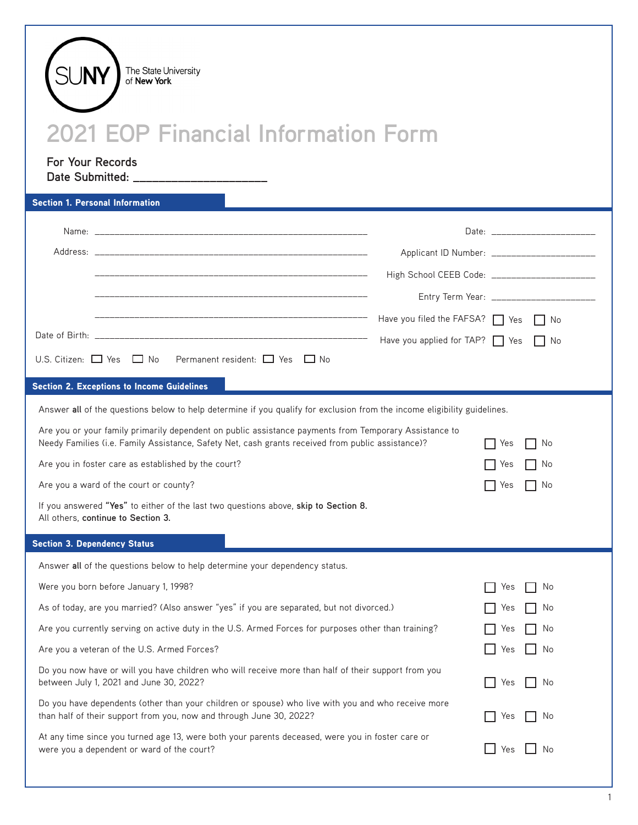| The State University<br>of New York<br><b>2021 EOP Financial Information Form</b><br><b>For Your Records</b><br>Date Submitted: _______________________                                                    |                                                |                                                 |  |  |  |  |  |
|------------------------------------------------------------------------------------------------------------------------------------------------------------------------------------------------------------|------------------------------------------------|-------------------------------------------------|--|--|--|--|--|
| <b>Section 1. Personal Information</b>                                                                                                                                                                     |                                                | Date: _______________________                   |  |  |  |  |  |
|                                                                                                                                                                                                            |                                                | Applicant ID Number: _______________________    |  |  |  |  |  |
|                                                                                                                                                                                                            |                                                | High School CEEB Code: ________________________ |  |  |  |  |  |
|                                                                                                                                                                                                            |                                                |                                                 |  |  |  |  |  |
|                                                                                                                                                                                                            | Have you filed the FAFSA? $\Box$ Yes $\Box$ No |                                                 |  |  |  |  |  |
|                                                                                                                                                                                                            | Have you applied for TAP? Yes No               |                                                 |  |  |  |  |  |
| U.S. Citizen: $\Box$ Yes $\Box$ No Permanent resident: $\Box$ Yes $\Box$ No                                                                                                                                |                                                |                                                 |  |  |  |  |  |
| <b>Section 2. Exceptions to Income Guidelines</b>                                                                                                                                                          |                                                |                                                 |  |  |  |  |  |
| Answer all of the questions below to help determine if you qualify for exclusion from the income eligibility guidelines.                                                                                   |                                                |                                                 |  |  |  |  |  |
| Are you or your family primarily dependent on public assistance payments from Temporary Assistance to<br>Needy Families (i.e. Family Assistance, Safety Net, cash grants received from public assistance)? |                                                | No<br>Yes                                       |  |  |  |  |  |
| Are you in foster care as established by the court?                                                                                                                                                        |                                                | No<br>Yes                                       |  |  |  |  |  |
| Are you a ward of the court or county?                                                                                                                                                                     |                                                | Yes<br>. No                                     |  |  |  |  |  |
| If you answered "Yes" to either of the last two questions above, skip to Section 8.<br>All others, continue to Section 3.                                                                                  |                                                |                                                 |  |  |  |  |  |
| <b>Section 3. Dependency Status</b>                                                                                                                                                                        |                                                |                                                 |  |  |  |  |  |
| Answer all of the questions below to help determine your dependency status.                                                                                                                                |                                                |                                                 |  |  |  |  |  |
| Were you born before January 1, 1998?                                                                                                                                                                      |                                                | No<br>Yes                                       |  |  |  |  |  |
| As of today, are you married? (Also answer "yes" if you are separated, but not divorced.)                                                                                                                  | No<br>Yes                                      |                                                 |  |  |  |  |  |
| Are you currently serving on active duty in the U.S. Armed Forces for purposes other than training?                                                                                                        |                                                | No<br>Yes                                       |  |  |  |  |  |
| Are you a veteran of the U.S. Armed Forces?<br>No<br>Yes                                                                                                                                                   |                                                |                                                 |  |  |  |  |  |
| Do you now have or will you have children who will receive more than half of their support from you<br>between July 1, 2021 and June 30, 2022?<br>No<br>Yes                                                |                                                |                                                 |  |  |  |  |  |
| Do you have dependents (other than your children or spouse) who live with you and who receive more<br>than half of their support from you, now and through June 30, 2022?<br>Yes<br>No                     |                                                |                                                 |  |  |  |  |  |
| At any time since you turned age 13, were both your parents deceased, were you in foster care or<br>were you a dependent or ward of the court?                                                             |                                                | No<br>Yes                                       |  |  |  |  |  |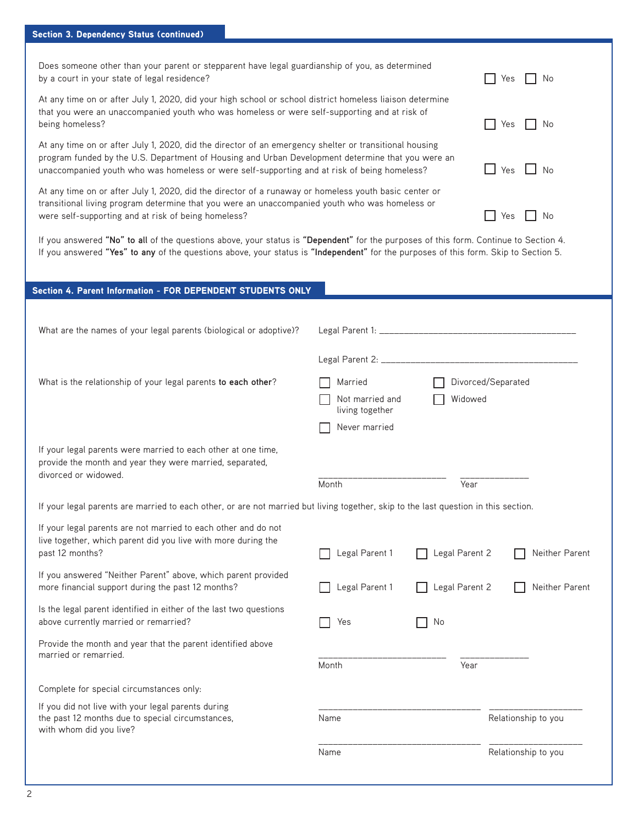| Does someone other than your parent or stepparent have legal guardianship of you, as determined<br>by a court in your state of legal residence?                                                                                                                                                            | No<br>Yes                                     |
|------------------------------------------------------------------------------------------------------------------------------------------------------------------------------------------------------------------------------------------------------------------------------------------------------------|-----------------------------------------------|
| At any time on or after July 1, 2020, did your high school or school district homeless liaison determine<br>that you were an unaccompanied youth who was homeless or were self-supporting and at risk of<br>being homeless?                                                                                | No<br>Yes                                     |
| At any time on or after July 1, 2020, did the director of an emergency shelter or transitional housing<br>program funded by the U.S. Department of Housing and Urban Development determine that you were an<br>unaccompanied youth who was homeless or were self-supporting and at risk of being homeless? | $\mathsf{I}$ $\mathsf{N}$ $\mathsf{N}$<br>Yes |
| At any time on or after July 1, 2020, did the director of a runaway or homeless youth basic center or<br>transitional living program determine that you were an unaccompanied youth who was homeless or<br>were self-supporting and at risk of being homeless?                                             | Yes                                           |

If you answered **"No" to all** of the questions above, your status is **"Dependent"** for the purposes of this form. Continue to Section 4. If you answered **"Yes" to any** of the questions above, your status is **"Independent"** for the purposes of this form. Skip to Section 5.

## Section 4. Parent Information - FOR DEPENDENT STUDENTS ONLY What are the names of your legal parents (biological or adoptive)? Legal Parent 1: \_\_\_\_\_\_\_\_\_\_\_\_\_\_\_\_\_\_\_\_\_\_\_\_\_\_\_\_\_\_\_\_\_\_\_\_\_\_\_\_ Legal Parent 2: \_\_\_\_\_\_\_\_\_\_\_\_\_\_\_\_\_\_\_\_\_\_\_\_\_\_\_\_\_\_\_\_\_\_\_\_\_\_\_\_ What is the relationship of your legal parents to each other? Married **National Accord** Divorced/Separated Not married and **Nidowed** living together Never married If your legal parents were married to each other at one time, provide the month and year they were married, separated, divorced or widowed. <br>
Month Month Team and Team of Team and Team of Team and Team and Team and Team and Team of Team and Team and Te If your legal parents are married to each other, or are not married but living together, skip to the last question in this section. If your legal parents are not married to each other and do not live together, which parent did you live with more during the past 12 months? **Legal Parent 1** Legal Parent 1 **Container 1** Legal Parent 2 **Container Parent** 2 Neither Parent If you answered "Neither Parent" above, which parent provided more financial support during the past 12 months? Legal Parent 1 Legal Parent 2 Neither Parent Is the legal parent identified in either of the last two questions above currently married or remarried?  $\Box$  Yes  $\Box$  No Provide the month and year that the parent identified above married or remarried. <br>
The contract of the contract of the contract of the contract of the contract of the contract of the contract o<br>
Month  $\overline{a}$ Month Month Complete for special circumstances only: If you did not live with your legal parents during the past 12 months due to special circumstances, Name Name Relationship to you with whom did you live? \_\_\_\_\_\_\_\_\_\_\_\_\_\_\_\_\_\_\_\_\_\_\_\_\_\_\_\_\_\_\_\_\_ \_\_\_\_\_\_\_\_\_\_\_\_\_\_\_\_\_\_\_ Name Relationship to you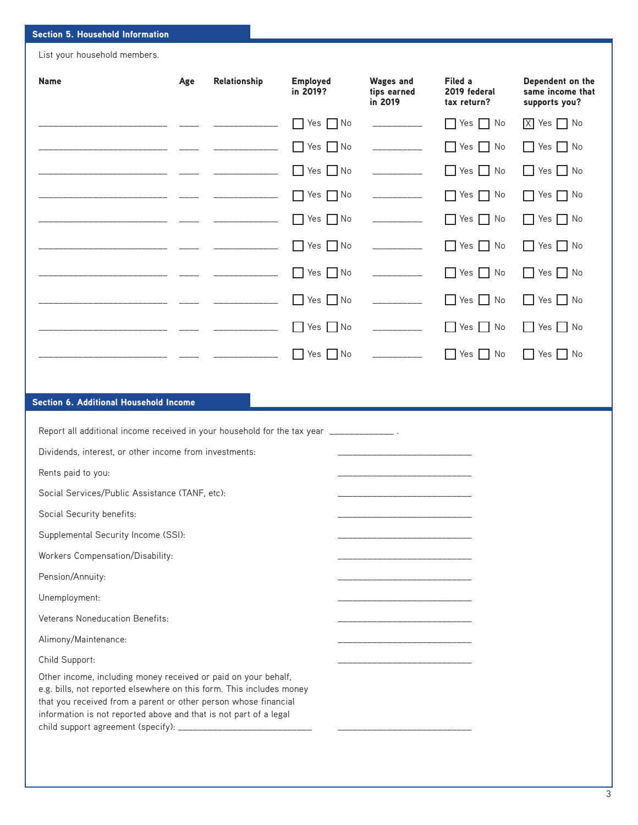## Section 5. Household Information

List your household members.

| <b>Name</b>                                                                                                                                                                                                                                                                    | Age | Relationship    | <b>Employed</b><br>in 2019? | <b>Wages and</b><br>tips earned<br>in 2019                                                                                                                                                                                                                                                                                                                                                                                                                                             | Filed a<br>2019 federal<br>tax return? | Dependent on the<br>same income that<br>supports you? |
|--------------------------------------------------------------------------------------------------------------------------------------------------------------------------------------------------------------------------------------------------------------------------------|-----|-----------------|-----------------------------|----------------------------------------------------------------------------------------------------------------------------------------------------------------------------------------------------------------------------------------------------------------------------------------------------------------------------------------------------------------------------------------------------------------------------------------------------------------------------------------|----------------------------------------|-------------------------------------------------------|
|                                                                                                                                                                                                                                                                                |     | _______________ | $\Box$ Yes $\Box$ No        | ___________                                                                                                                                                                                                                                                                                                                                                                                                                                                                            | $\Box$ Yes $\Box$ No                   | $\boxed{X}$ Yes $\boxed{\phantom{1}}$ No              |
|                                                                                                                                                                                                                                                                                |     |                 | $Yes \tNo$                  | $\begin{array}{cccccccccc} \multicolumn{2}{c}{} & \multicolumn{2}{c}{} & \multicolumn{2}{c}{} & \multicolumn{2}{c}{} & \multicolumn{2}{c}{} & \multicolumn{2}{c}{} & \multicolumn{2}{c}{} & \multicolumn{2}{c}{} & \multicolumn{2}{c}{} & \multicolumn{2}{c}{} & \multicolumn{2}{c}{} & \multicolumn{2}{c}{} & \multicolumn{2}{c}{} & \multicolumn{2}{c}{} & \multicolumn{2}{c}{} & \multicolumn{2}{c}{} & \multicolumn{2}{c}{} & \multicolumn{2}{c}{} & \multicolumn{2}{c}{} & \mult$ | $\Box$ Yes $\Box$ No                   | $\Box$ Yes $\Box$ No                                  |
|                                                                                                                                                                                                                                                                                |     |                 | $\Box$ Yes $\Box$ No        | ___________                                                                                                                                                                                                                                                                                                                                                                                                                                                                            | $\Box$ Yes $\Box$ No                   | $\Box$ Yes $\Box$ No                                  |
|                                                                                                                                                                                                                                                                                |     |                 | Yes<br>$\Box$ No<br>$\perp$ | ___________                                                                                                                                                                                                                                                                                                                                                                                                                                                                            | $\Box$ Yes $\Box$ No                   | Yes $\Box$ No<br>- 1                                  |
|                                                                                                                                                                                                                                                                                |     |                 | Yes $\Box$ No               | ______________                                                                                                                                                                                                                                                                                                                                                                                                                                                                         | Yes $\Box$ No<br>ΙI                    | Yes $\Box$ No                                         |
|                                                                                                                                                                                                                                                                                |     |                 | $\Box$ Yes $\Box$ No        |                                                                                                                                                                                                                                                                                                                                                                                                                                                                                        | $\Box$ Yes $\Box$ No                   | $\Box$ Yes $\Box$ No                                  |
|                                                                                                                                                                                                                                                                                |     |                 | $\Box$ Yes $\Box$ No        |                                                                                                                                                                                                                                                                                                                                                                                                                                                                                        | $\Box$ Yes $\Box$ No                   | $\Box$ Yes $\Box$ No                                  |
|                                                                                                                                                                                                                                                                                |     |                 | $\Box$ Yes $\Box$ No        | ____________                                                                                                                                                                                                                                                                                                                                                                                                                                                                           | $\Box$ Yes $\Box$ No                   | $\Box$ Yes $\Box$ No                                  |
|                                                                                                                                                                                                                                                                                |     |                 | $\Box$ Yes $\Box$ No        | $\begin{array}{cccccccccc} \multicolumn{2}{c}{} & \multicolumn{2}{c}{} & \multicolumn{2}{c}{} & \multicolumn{2}{c}{} & \multicolumn{2}{c}{} & \multicolumn{2}{c}{} & \multicolumn{2}{c}{} & \multicolumn{2}{c}{} & \multicolumn{2}{c}{} & \multicolumn{2}{c}{} & \multicolumn{2}{c}{} & \multicolumn{2}{c}{} & \multicolumn{2}{c}{} & \multicolumn{2}{c}{} & \multicolumn{2}{c}{} & \multicolumn{2}{c}{} & \multicolumn{2}{c}{} & \multicolumn{2}{c}{} & \multicolumn{2}{c}{} & \mult$ | $\Box$ Yes $\Box$ No                   | $\Box$ Yes $\Box$ No                                  |
|                                                                                                                                                                                                                                                                                |     |                 | $\Box$ Yes $\Box$ No        | ______________                                                                                                                                                                                                                                                                                                                                                                                                                                                                         | $\Box$ Yes $\Box$ No                   | $\Box$ Yes $\Box$ No                                  |
|                                                                                                                                                                                                                                                                                |     |                 |                             |                                                                                                                                                                                                                                                                                                                                                                                                                                                                                        |                                        |                                                       |
| Section 6. Additional Household Income                                                                                                                                                                                                                                         |     |                 |                             |                                                                                                                                                                                                                                                                                                                                                                                                                                                                                        |                                        |                                                       |
| Report all additional income received in your household for the tax year _____________.                                                                                                                                                                                        |     |                 |                             |                                                                                                                                                                                                                                                                                                                                                                                                                                                                                        |                                        |                                                       |
| Dividends, interest, or other income from investments:                                                                                                                                                                                                                         |     |                 |                             |                                                                                                                                                                                                                                                                                                                                                                                                                                                                                        |                                        |                                                       |
| Rents paid to you:                                                                                                                                                                                                                                                             |     |                 |                             |                                                                                                                                                                                                                                                                                                                                                                                                                                                                                        |                                        |                                                       |
| Social Services/Public Assistance (TANF, etc):                                                                                                                                                                                                                                 |     |                 |                             |                                                                                                                                                                                                                                                                                                                                                                                                                                                                                        |                                        |                                                       |
| Social Security benefits:                                                                                                                                                                                                                                                      |     |                 |                             |                                                                                                                                                                                                                                                                                                                                                                                                                                                                                        |                                        |                                                       |
| Supplemental Security Income (SSI):                                                                                                                                                                                                                                            |     |                 |                             |                                                                                                                                                                                                                                                                                                                                                                                                                                                                                        |                                        |                                                       |
| Workers Compensation/Disability:                                                                                                                                                                                                                                               |     |                 |                             | ____________________                                                                                                                                                                                                                                                                                                                                                                                                                                                                   |                                        |                                                       |
| Pension/Annuity:                                                                                                                                                                                                                                                               |     |                 |                             |                                                                                                                                                                                                                                                                                                                                                                                                                                                                                        |                                        |                                                       |
| Unemployment:                                                                                                                                                                                                                                                                  |     |                 |                             |                                                                                                                                                                                                                                                                                                                                                                                                                                                                                        |                                        |                                                       |
| Veterans Noneducation Benefits:                                                                                                                                                                                                                                                |     |                 |                             |                                                                                                                                                                                                                                                                                                                                                                                                                                                                                        |                                        |                                                       |
| Alimony/Maintenance:                                                                                                                                                                                                                                                           |     |                 |                             |                                                                                                                                                                                                                                                                                                                                                                                                                                                                                        |                                        |                                                       |
| Child Support:                                                                                                                                                                                                                                                                 |     |                 |                             |                                                                                                                                                                                                                                                                                                                                                                                                                                                                                        |                                        |                                                       |
| Other income, including money received or paid on your behalf,<br>e.g. bills, not reported elsewhere on this form. This includes money<br>that you received from a parent or other person whose financial<br>information is not reported above and that is not part of a legal |     |                 |                             |                                                                                                                                                                                                                                                                                                                                                                                                                                                                                        |                                        |                                                       |